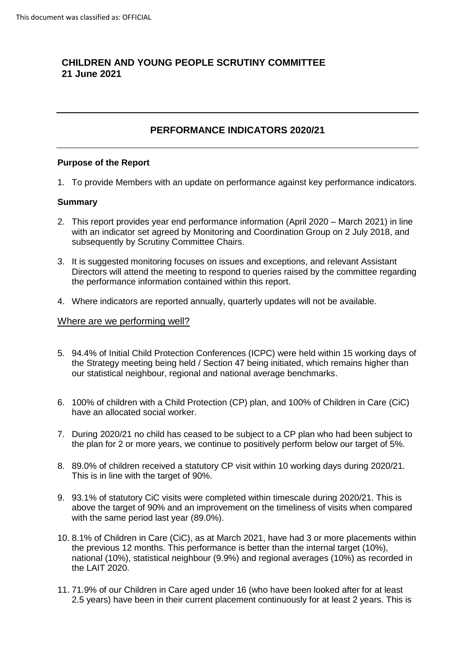# **CHILDREN AND YOUNG PEOPLE SCRUTINY COMMITTEE 21 June 2021**

## **PERFORMANCE INDICATORS 2020/21**

## **Purpose of the Report**

1. To provide Members with an update on performance against key performance indicators.

### **Summary**

- 2. This report provides year end performance information (April 2020 March 2021) in line with an indicator set agreed by Monitoring and Coordination Group on 2 July 2018, and subsequently by Scrutiny Committee Chairs.
- 3. It is suggested monitoring focuses on issues and exceptions, and relevant Assistant Directors will attend the meeting to respond to queries raised by the committee regarding the performance information contained within this report.
- 4. Where indicators are reported annually, quarterly updates will not be available.

#### Where are we performing well?

- 5. 94.4% of Initial Child Protection Conferences (ICPC) were held within 15 working days of the Strategy meeting being held / Section 47 being initiated, which remains higher than our statistical neighbour, regional and national average benchmarks.
- 6. 100% of children with a Child Protection (CP) plan, and 100% of Children in Care (CiC) have an allocated social worker.
- 7. During 2020/21 no child has ceased to be subject to a CP plan who had been subject to the plan for 2 or more years, we continue to positively perform below our target of 5%.
- 8. 89.0% of children received a statutory CP visit within 10 working days during 2020/21. This is in line with the target of 90%.
- 9. 93.1% of statutory CiC visits were completed within timescale during 2020/21. This is above the target of 90% and an improvement on the timeliness of visits when compared with the same period last year (89.0%).
- 10. 8.1% of Children in Care (CiC), as at March 2021, have had 3 or more placements within the previous 12 months. This performance is better than the internal target (10%), national (10%), statistical neighbour (9.9%) and regional averages (10%) as recorded in the LAIT 2020.
- 11. 71.9% of our Children in Care aged under 16 (who have been looked after for at least 2.5 years) have been in their current placement continuously for at least 2 years. This is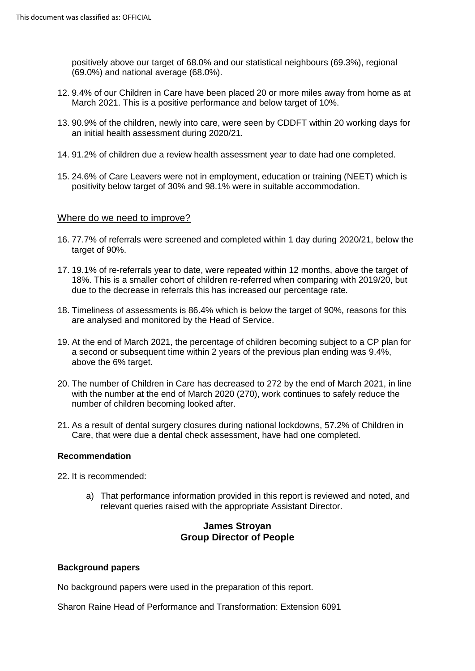positively above our target of 68.0% and our statistical neighbours (69.3%), regional (69.0%) and national average (68.0%).

- 12. 9.4% of our Children in Care have been placed 20 or more miles away from home as at March 2021. This is a positive performance and below target of 10%.
- 13. 90.9% of the children, newly into care, were seen by CDDFT within 20 working days for an initial health assessment during 2020/21.
- 14. 91.2% of children due a review health assessment year to date had one completed.
- 15. 24.6% of Care Leavers were not in employment, education or training (NEET) which is positivity below target of 30% and 98.1% were in suitable accommodation.

### Where do we need to improve?

- 16. 77.7% of referrals were screened and completed within 1 day during 2020/21, below the target of 90%.
- 17. 19.1% of re-referrals year to date, were repeated within 12 months, above the target of 18%. This is a smaller cohort of children re-referred when comparing with 2019/20, but due to the decrease in referrals this has increased our percentage rate.
- 18. Timeliness of assessments is 86.4% which is below the target of 90%, reasons for this are analysed and monitored by the Head of Service.
- 19. At the end of March 2021, the percentage of children becoming subject to a CP plan for a second or subsequent time within 2 years of the previous plan ending was 9.4%, above the 6% target.
- 20. The number of Children in Care has decreased to 272 by the end of March 2021, in line with the number at the end of March 2020 (270), work continues to safely reduce the number of children becoming looked after.
- 21. As a result of dental surgery closures during national lockdowns, 57.2% of Children in Care, that were due a dental check assessment, have had one completed.

#### **Recommendation**

22. It is recommended:

a) That performance information provided in this report is reviewed and noted, and relevant queries raised with the appropriate Assistant Director.

## **James Stroyan Group Director of People**

#### **Background papers**

No background papers were used in the preparation of this report.

Sharon Raine Head of Performance and Transformation: Extension 6091